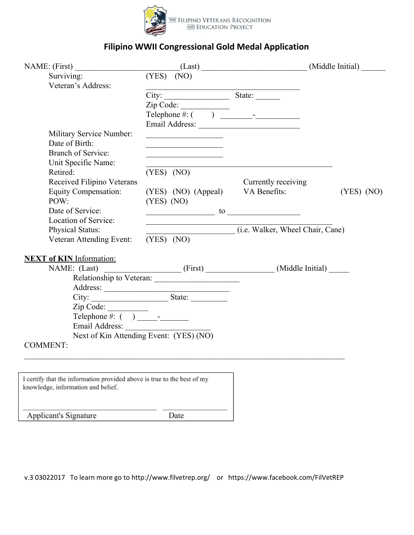

## **Filipino WWII Congressional Gold Medal Application**

| NAME: (First)                                                                                                 |              |                                                                                                                       | (Last)                                             | (Middle Initial) |
|---------------------------------------------------------------------------------------------------------------|--------------|-----------------------------------------------------------------------------------------------------------------------|----------------------------------------------------|------------------|
| Surviving:                                                                                                    |              | $(YES)$ (NO)                                                                                                          |                                                    |                  |
| Veteran's Address:                                                                                            |              |                                                                                                                       |                                                    |                  |
|                                                                                                               |              | City:                                                                                                                 | State:                                             |                  |
|                                                                                                               |              |                                                                                                                       |                                                    |                  |
|                                                                                                               |              |                                                                                                                       |                                                    |                  |
|                                                                                                               |              |                                                                                                                       |                                                    |                  |
| Military Service Number:                                                                                      |              | <u> 1989 - Johann Barn, fransk politik (</u>                                                                          |                                                    |                  |
| Date of Birth:                                                                                                |              | <u> 1989 - Johann Harry Harry Harry Harry Harry Harry Harry Harry Harry Harry Harry Harry Harry Harry Harry Harry</u> |                                                    |                  |
| <b>Branch of Service:</b>                                                                                     |              |                                                                                                                       |                                                    |                  |
| Unit Specific Name:                                                                                           |              |                                                                                                                       |                                                    |                  |
| Retired:                                                                                                      |              | $(YES)$ (NO)                                                                                                          |                                                    |                  |
| Received Filipino Veterans                                                                                    |              |                                                                                                                       | Currently receiving                                |                  |
| <b>Equity Compensation:</b>                                                                                   |              | (YES) (NO) (Appeal)                                                                                                   | VA Benefits:                                       | $(YES)$ (NO)     |
| POW:                                                                                                          | $(YES)$ (NO) |                                                                                                                       |                                                    |                  |
| Date of Service:                                                                                              |              |                                                                                                                       | $\frac{1}{10}$ to $\frac{1}{10}$ to $\frac{1}{10}$ |                  |
| Location of Service:                                                                                          |              | <u> 1989 - Andrea Aonaich, ann an t-Aonaich an t-Aonaich an t-Aonaich ann an t-Aonaich ann an t-Aonaich ann an t-</u> |                                                    |                  |
| Physical Status:                                                                                              |              |                                                                                                                       | (i.e. Walker, Wheeler, Cane)                       |                  |
| Veteran Attending Event:                                                                                      |              | $(YES)$ (NO)                                                                                                          |                                                    |                  |
| <b>NEXT of KIN Information:</b>                                                                               |              |                                                                                                                       |                                                    |                  |
| NAME: (Last) ______________________(First) ________________(Middle Initial) _____                             |              |                                                                                                                       |                                                    |                  |
|                                                                                                               |              |                                                                                                                       |                                                    |                  |
|                                                                                                               |              |                                                                                                                       |                                                    |                  |
|                                                                                                               |              |                                                                                                                       |                                                    |                  |
|                                                                                                               |              |                                                                                                                       |                                                    |                  |
|                                                                                                               |              |                                                                                                                       |                                                    |                  |
|                                                                                                               |              |                                                                                                                       |                                                    |                  |
| Next of Kin Attending Event: (YES) (NO)                                                                       |              |                                                                                                                       |                                                    |                  |
| <b>COMMENT:</b>                                                                                               |              |                                                                                                                       |                                                    |                  |
|                                                                                                               |              |                                                                                                                       |                                                    |                  |
|                                                                                                               |              |                                                                                                                       |                                                    |                  |
| I certify that the information provided above is true to the best of my<br>knowledge, information and belief. |              |                                                                                                                       |                                                    |                  |
| Applicant's Signature                                                                                         |              | Date                                                                                                                  |                                                    |                  |

v.3 03022017 To learn more go to http://www.filvetrep.org/ or https://www.facebook.com/FilVetREP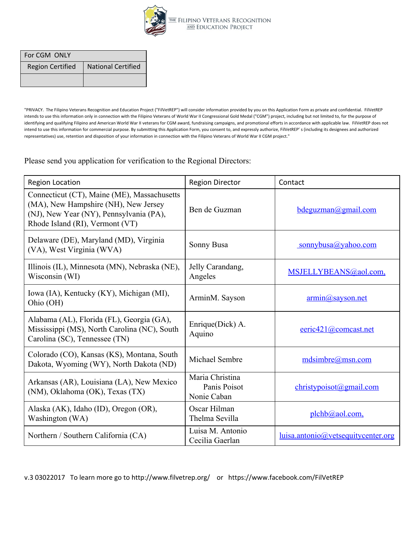

| For CGM ONLY            |                           |  |
|-------------------------|---------------------------|--|
| <b>Region Certified</b> | <b>National Certified</b> |  |
|                         |                           |  |

"PRIVACY. The Filipino Veterans Recognition and Education Project ("FilVetREP") will consider information provided by you on this Application Form as private and confidential. FilVetREP intends to use this information only in connection with the Filipino Veterans of World War II Congressional Gold Medal ("CGM") project, including but not limited to, for the purpose of identifying and qualifying Filipino and American World War II veterans for CGM award, fundraising campaigns, and promotional efforts in accordance with applicable law. FilVetREP does not intend to use this information for commercial purpose. By submitting this Application Form, you consent to, and expressly authorize, FilVetREP' s (including its designees and authorized representatives) use, retention and disposition of your information in connection with the Filipino Veterans of World War II CGM project."

Please send you application for verification to the Regional Directors:

| <b>Region Location</b>                                                                                                                                            | <b>Region Director</b>                         | Contact                                   |
|-------------------------------------------------------------------------------------------------------------------------------------------------------------------|------------------------------------------------|-------------------------------------------|
| Connecticut (CT), Maine (ME), Massachusetts<br>(MA), New Hampshire (NH), New Jersey<br>(NJ), New Year (NY), Pennsylvania (PA),<br>Rhode Island (RI), Vermont (VT) | Ben de Guzman                                  | bdequzman@gmail.com                       |
| Delaware (DE), Maryland (MD), Virginia<br>(VA), West Virginia (WVA)                                                                                               | Sonny Busa                                     | sonnybusa@yahoo.com                       |
| Illinois (IL), Minnesota (MN), Nebraska (NE),<br>Wisconsin (WI)                                                                                                   | Jelly Carandang,<br>Angeles                    | MSJELLYBEANS@aol.com,                     |
| Iowa (IA), Kentucky (KY), Michigan (MI),<br>Ohio (OH)                                                                                                             | ArminM. Sayson                                 | $armin@$ sayson.net                       |
| Alabama (AL), Florida (FL), Georgia (GA),<br>Mississippi (MS), North Carolina (NC), South<br>Carolina (SC), Tennessee (TN)                                        | Enrique(Dick) A.<br>Aquino                     | $e$ eric421@comcast.net                   |
| Colorado (CO), Kansas (KS), Montana, South<br>Dakota, Wyoming (WY), North Dakota (ND)                                                                             | Michael Sembre                                 | mdsimbre@mssn.com                         |
| Arkansas (AR), Louisiana (LA), New Mexico<br>(NM), Oklahoma (OK), Texas (TX)                                                                                      | Maria Christina<br>Panis Poisot<br>Nonie Caban | christypoisot(a)gmail.com                 |
| Alaska (AK), Idaho (ID), Oregon (OR),<br>Washington (WA)                                                                                                          | Oscar Hilman<br>Thelma Sevilla                 | $plehb@aol.com$ ,                         |
| Northern / Southern California (CA)                                                                                                                               | Luisa M. Antonio<br>Cecilia Gaerlan            | <u>luisa.antonio@vetsequitycenter.org</u> |